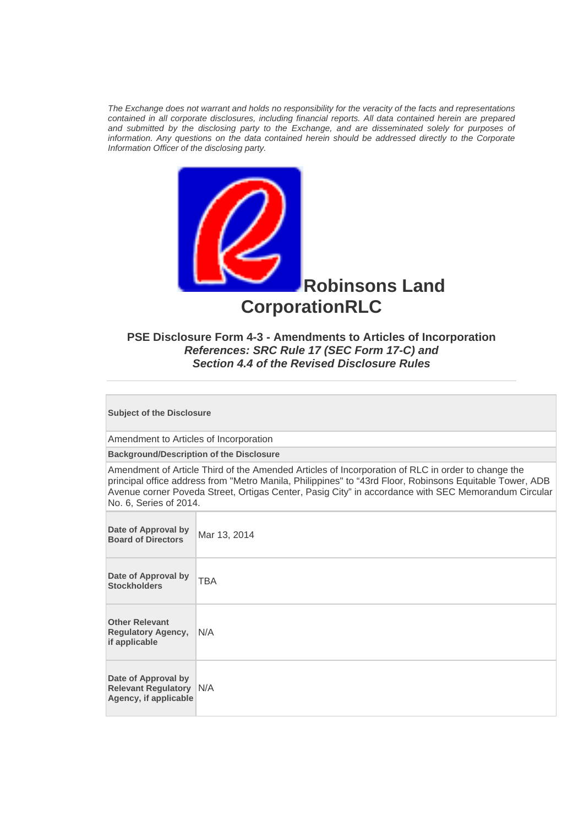*The Exchange does not warrant and holds no responsibility for the veracity of the facts and representations contained in all corporate disclosures, including financial reports. All data contained herein are prepared and submitted by the disclosing party to the Exchange, and are disseminated solely for purposes of information. Any questions on the data contained herein should be addressed directly to the Corporate Information Officer of the disclosing party.* 



# **PSE Disclosure Form 4-3 - Amendments to Articles of Incorporation**  *References: SRC Rule 17 (SEC Form 17-C) and Section 4.4 of the Revised Disclosure Rules*

**Subject of the Disclosure** 

Amendment to Articles of Incorporation

**Background/Description of the Disclosure**

Amendment of Article Third of the Amended Articles of Incorporation of RLC in order to change the principal office address from "Metro Manila, Philippines" to "43rd Floor, Robinsons Equitable Tower, ADB Avenue corner Poveda Street, Ortigas Center, Pasig City" in accordance with SEC Memorandum Circular No. 6, Series of 2014.

| Date of Approval by<br><b>Board of Directors</b>                               | Mar 13, 2014 |
|--------------------------------------------------------------------------------|--------------|
| Date of Approval by<br><b>Stockholders</b>                                     | <b>TBA</b>   |
| <b>Other Relevant</b><br><b>Regulatory Agency,</b><br>if applicable            | N/A          |
| Date of Approval by<br><b>Relevant Regulatory N/A</b><br>Agency, if applicable |              |